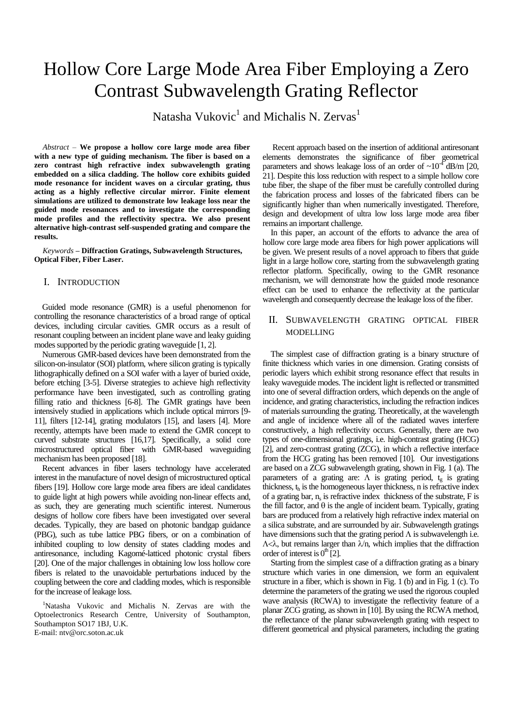# Hollow Core Large Mode Area Fiber Employing a Zero Contrast Subwavelength Grating Reflector

Natasha Vukovic $^1$  and Michalis N. Zervas $^1$ 

*Abstract –* **We propose a hollow core large mode area fiber with a new type of guiding mechanism. The fiber is based on a zero contrast high refractive index subwavelength grating embedded on a silica cladding. The hollow core exhibits guided mode resonance for incident waves on a circular grating, thus acting as a highly reflective circular mirror. Finite element simulations are utilized to demonstrate low leakage loss near the guided mode resonances and to investigate the corresponding mode profiles and the reflectivity spectra. We also present alternative high-contrast self-suspended grating and compare the results.**

*Keywords –* **Diffraction Gratings, Subwavelength Structures, Optical Fiber, Fiber Laser.**

### I. INTRODUCTION

Guided mode resonance (GMR) is a useful phenomenon for controlling the resonance characteristics of a broad range of optical devices, including circular cavities. GMR occurs as a result of resonant coupling between an incident plane wave and leaky guiding modes supported by the periodic grating waveguide [1, 2].

Numerous GMR-based devices have been demonstrated from the silicon-on-insulator (SOI) platform, where silicon grating is typically lithographically defined on a SOI wafer with a layer of buried oxide, before etching [3-5]. Diverse strategies to achieve high reflectivity performance have been investigated, such as controlling grating filling ratio and thickness [6-8]. The GMR gratings have been intensively studied in applications which include optical mirrors [9- 11], filters [12-14], grating modulators [15], and lasers [4]. More recently, attempts have been made to extend the GMR concept to curved substrate structures [16,17]. Specifically, a solid core microstructured optical fiber with GMR-based waveguiding mechanism has been proposed [18].

Recent advances in fiber lasers technology have accelerated interest in the manufacture of novel design of microstructured optical fibers [19]. Hollow core large mode area fibers are ideal candidates to guide light at high powers while avoiding non-linear effects and, as such, they are generating much scientific interest. Numerous designs of hollow core fibers have been investigated over several decades. Typically, they are based on photonic bandgap guidance (PBG), such as tube lattice PBG fibers, or on a combination of inhibited coupling to low density of states cladding modes and antiresonance, including Kagomé-latticed photonic crystal fibers [20]. One of the major challenges in obtaining low loss hollow core fibers is related to the unavoidable perturbations induced by the coupling between the core and cladding modes, which is responsible for the increase of leakage loss.

<sup>1</sup>Natasha Vukovic and Michalis N. Zervas are with the Optoelectronics Research Centre, University of Southampton, Southampton SO17 1BJ, U.K. E-mail: ntv@orc.soton.ac.uk

Recent approach based on the insertion of additional antiresonant elements demonstrates the significance of fiber geometrical parameters and shows leakage loss of an order of  $\sim 10^{-4}$  dB/m [20, 21]. Despite this loss reduction with respect to a simple hollow core tube fiber, the shape of the fiber must be carefully controlled during the fabrication process and losses of the fabricated fibers can be significantly higher than when numerically investigated. Therefore, design and development of ultra low loss large mode area fiber remains an important challenge.

In this paper, an account of the efforts to advance the area of hollow core large mode area fibers for high power applications will be given. We present results of a novel approach to fibers that guide light in a large hollow core, starting from the subwavelength grating reflector platform. Specifically, owing to the GMR resonance mechanism, we will demonstrate how the guided mode resonance effect can be used to enhance the reflectivity at the particular wavelength and consequently decrease the leakage loss of the fiber.

## II. SUBWAVELENGTH GRATING OPTICAL FIBER MODELLING

The simplest case of diffraction grating is a binary structure of finite thickness which varies in one dimension. Grating consists of periodic layers which exhibit strong resonance effect that results in leaky waveguide modes. The incident light is reflected or transmitted into one of several diffraction orders, which depends on the angle of incidence, and grating characteristics, including the refraction indices of materials surrounding the grating. Theoretically, at the wavelength and angle of incidence where all of the radiated waves interfere constructively, a high reflectivity occurs. Generally, there are two types of one-dimensional gratings, i.e. high-contrast grating (HCG) [2], and zero-contrast grating (ZCG), in which a reflective interface from the HCG grating has been removed [10]. Our investigations are based on a ZCG subwavelength grating, shown in Fig. 1 (a). The parameters of a grating are:  $\Lambda$  is grating period,  $t_g$  is grating thickness,  $t<sub>h</sub>$  is the homogeneous layer thickness, n is refractive index of a grating bar,  $n_s$  is refractive index thickness of the substrate,  $F$  is the fill factor, and  $\theta$  is the angle of incident beam. Typically, grating bars are produced from a relatively high refractive index material on a silica substrate, and are surrounded by air. Subwavelength gratings have dimensions such that the grating period  $\Lambda$  is subwavelength i.e.  $\Lambda<\lambda$ , but remains larger than  $\lambda$ n, which implies that the diffraction order of interest is  $0<sup>th</sup>$  [2].

Starting from the simplest case of a diffraction grating as a binary structure which varies in one dimension, we form an equivalent structure in a fiber, which is shown in Fig. 1 (b) and in Fig. 1 (c). To determine the parameters of the grating we used the rigorous coupled wave analysis (RCWA) to investigate the reflectivity feature of a planar ZCG grating, as shown in [10]. By using the RCWA method, the reflectance of the planar subwavelength grating with respect to different geometrical and physical parameters, including the grating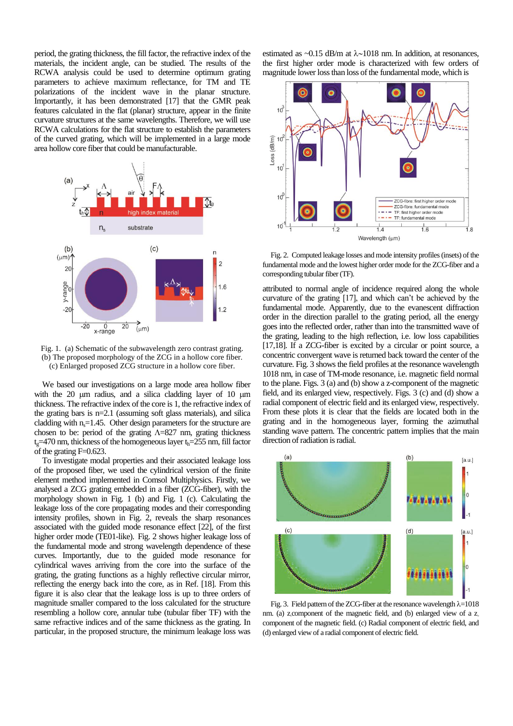period, the grating thickness, the fill factor, the refractive index of the materials, the incident angle, can be studied. The results of the RCWA analysis could be used to determine optimum grating parameters to achieve maximum reflectance, for TM and TE polarizations of the incident wave in the planar structure. Importantly, it has been demonstrated [17] that the GMR peak features calculated in the flat (planar) structure, appear in the finite curvature structures at the same wavelengths. Therefore, we will use RCWA calculations for the flat structure to establish the parameters of the curved grating, which will be implemented in a large mode area hollow core fiber that could be manufacturable.



Fig. 1. (a) Schematic of the subwavelength zero contrast grating. (b) The proposed morphology of the ZCG in a hollow core fiber. (c) Enlarged proposed ZCG structure in a hollow core fiber.

We based our investigations on a large mode area hollow fiber with the  $20 \text{ um }$  radius, and a silica cladding layer of  $10 \text{ um}$ thickness. The refractive index of the core is 1, the refractive index of the grating bars is n=2.1 (assuming soft glass materials), and silica cladding with  $n_s = 1.45$ . Other design parameters for the structure are chosen to be: period of the grating  $\Lambda$ =827 nm, grating thickness  $t<sub>o</sub>=470$  nm, thickness of the homogeneous layer  $t<sub>h</sub>=255$  nm, fill factor  $\sigma$ f the grating F=0.623.

To investigate modal properties and their associated leakage loss of the proposed fiber, we used the cylindrical version of the finite element method implemented in Comsol Multiphysics. Firstly, we analysed a ZCG grating embedded in a fiber (ZCG-fiber), with the morphology shown in Fig. 1 (b) and Fig. 1 (c). Calculating the leakage loss of the core propagating modes and their corresponding intensity profiles, shown in Fig. 2, reveals the sharp resonances associated with the guided mode resonance effect [22], of the first higher order mode (TE01-like). Fig. 2 shows higher leakage loss of the fundamental mode and strong wavelength dependence of these curves. Importantly, due to the guided mode resonance for cylindrical waves arriving from the core into the surface of the grating, the grating functions as a highly reflective circular mirror, reflecting the energy back into the core, as in Ref. [18]. From this figure it is also clear that the leakage loss is up to three orders of magnitude smaller compared to the loss calculated for the structure resembling a hollow core, annular tube (tubular fiber TF) with the same refractive indices and of the same thickness as the grating. In particular, in the proposed structure, the minimum leakage loss was

estimated as  $\sim 0.15$  dB/m at  $\lambda \sim 1018$  nm. In addition, at resonances, the first higher order mode is characterized with few orders of magnitude lower loss than loss of the fundamental mode, which is



Fig. 2. Computed leakage losses and mode intensity profiles (insets) of the fundamental mode and the lowest higher order mode for the ZCG-fiber and a corresponding tubular fiber (TF).

attributed to normal angle of incidence required along the whole curvature of the grating [17], and which can't be achieved by the fundamental mode. Apparently, due to the evanescent diffraction order in the direction parallel to the grating period, all the energy goes into the reflected order, rather than into the transmitted wave of the grating, leading to the high reflection, i.e. low loss capabilities [17,18]. If a ZCG-fiber is excited by a circular or point source, a concentric convergent wave is returned back toward the center of the curvature. Fig. 3 shows the field profiles at the resonance wavelength 1018 nm, in case of TM-mode resonance, i.e. magnetic field normal to the plane. Figs. 3 (a) and (b) show a z-component of the magnetic field, and its enlarged view, respectively. Figs. 3 (c) and (d) show a radial component of electric field and its enlarged view, respectively. From these plots it is clear that the fields are located both in the grating and in the homogeneous layer, forming the azimuthal standing wave pattern. The concentric pattern implies that the main direction of radiation is radial.



Fig. 3. Field pattern of the ZCG-fiber at the resonance wavelength  $\lambda$ =1018 nm. (a) z component of the magnetic field, and (b) enlarged view of a z component of the magnetic field. (c) Radial component of electric field, and (d) enlarged view of a radial component of electric field.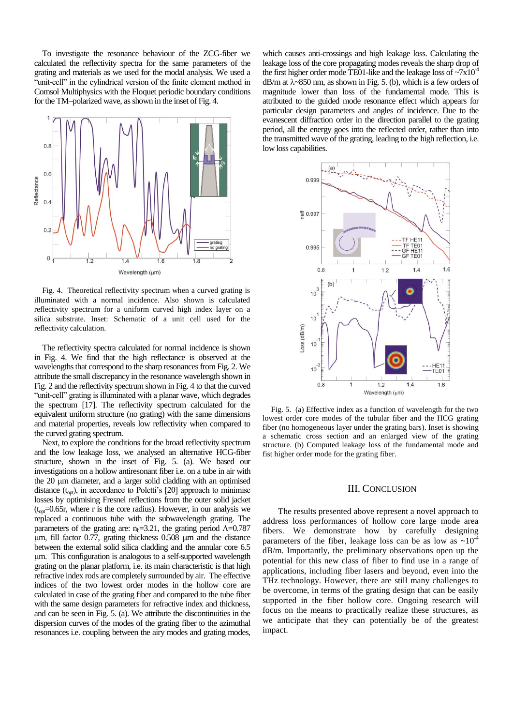To investigate the resonance behaviour of the ZCG-fiber we calculated the reflectivity spectra for the same parameters of the grating and materials as we used for the modal analysis. We used a "unit-cell" in the cylindrical version of the finite element method in Comsol Multiphysics with the Floquet periodic boundary conditions for the TM–polarized wave, as shown in the inset of Fig. 4.



Fig. 4. Theoretical reflectivity spectrum when a curved grating is illuminated with a normal incidence. Also shown is calculated reflectivity spectrum for a uniform curved high index layer on a silica substrate. Inset: Schematic of a unit cell used for the reflectivity calculation.

The reflectivity spectra calculated for normal incidence is shown in Fig. 4. We find that the high reflectance is observed at the wavelengths that correspond to the sharp resonances from Fig. 2. We attribute the small discrepancy in the resonance wavelength shown in Fig. 2 and the reflectivity spectrum shown in Fig. 4 to that the curved "unit-cell" grating is illuminated with a planar wave, which degrades the spectrum [17]. The reflectivity spectrum calculated for the equivalent uniform structure (no grating) with the same dimensions and material properties, reveals low reflectivity when compared to the curved grating spectrum.

Next, to explore the conditions for the broad reflectivity spectrum and the low leakage loss, we analysed an alternative HCG-fiber structure, shown in the inset of Fig. 5. (a). We based our investigations on a hollow antiresonant fiber i.e. on a tube in air with the 20  $\mu$ m diameter, and a larger solid cladding with an optimised distance  $(t_{\text{out}})$ , in accordance to Poletti's [20] approach to minimise losses by optimising Fresnel reflections from the outer solid jacket  $(t_{\text{on}}=0.65r,$  where r is the core radius). However, in our analysis we replaced a continuous tube with the subwavelength grating. The parameters of the grating are:  $n_h=3.21$ , the grating period  $\Lambda=0.787$  $\mu$ m, fill factor 0.77, grating thickness 0.508  $\mu$ m and the distance between the external solid silica cladding and the annular core 6.5 m. This configuration is analogous to a self-supported wavelength grating on the planar platform, i.e. its main characteristic is that high refractive index rods are completely surrounded by air. The effective indices of the two lowest order modes in the hollow core are calculated in case of the grating fiber and compared to the tube fiber with the same design parameters for refractive index and thickness, and can be seen in Fig. 5. (a). We attribute the discontinuities in the dispersion curves of the modes of the grating fiber to the azimuthal resonances i.e. coupling between the airy modes and grating modes,

which causes anti-crossings and high leakage loss. Calculating the leakage loss of the core propagating modes reveals the sharp drop of the first higher order mode TE01-like and the leakage loss of  $\sim 7 \times 10^{-4}$  $dB/m$  at  $\lambda \sim 850$  nm, as shown in Fig. 5. (b), which is a few orders of magnitude lower than loss of the fundamental mode. This is attributed to the guided mode resonance effect which appears for particular design parameters and angles of incidence. Due to the evanescent diffraction order in the direction parallel to the grating period, all the energy goes into the reflected order, rather than into the transmitted wave of the grating, leading to the high reflection, i.e. low loss capabilities.



Fig. 5. (a) Effective index as a function of wavelength for the two lowest order core modes of the tubular fiber and the HCG grating fiber (no homogeneous layer under the grating bars). Inset is showing a schematic cross section and an enlarged view of the grating structure. (b) Computed leakage loss of the fundamental mode and fist higher order mode for the grating fiber.

#### III. CONCLUSION

The results presented above represent a novel approach to address loss performances of hollow core large mode area fibers. We demonstrate how by carefully designing parameters of the fiber, leakage loss can be as low as  $\sim 10^{-4}$ dB/m. Importantly, the preliminary observations open up the potential for this new class of fiber to find use in a range of applications, including fiber lasers and beyond, even into the THz technology. However, there are still many challenges to be overcome, in terms of the grating design that can be easily supported in the fiber hollow core. Ongoing research will focus on the means to practically realize these structures, as we anticipate that they can potentially be of the greatest impact.